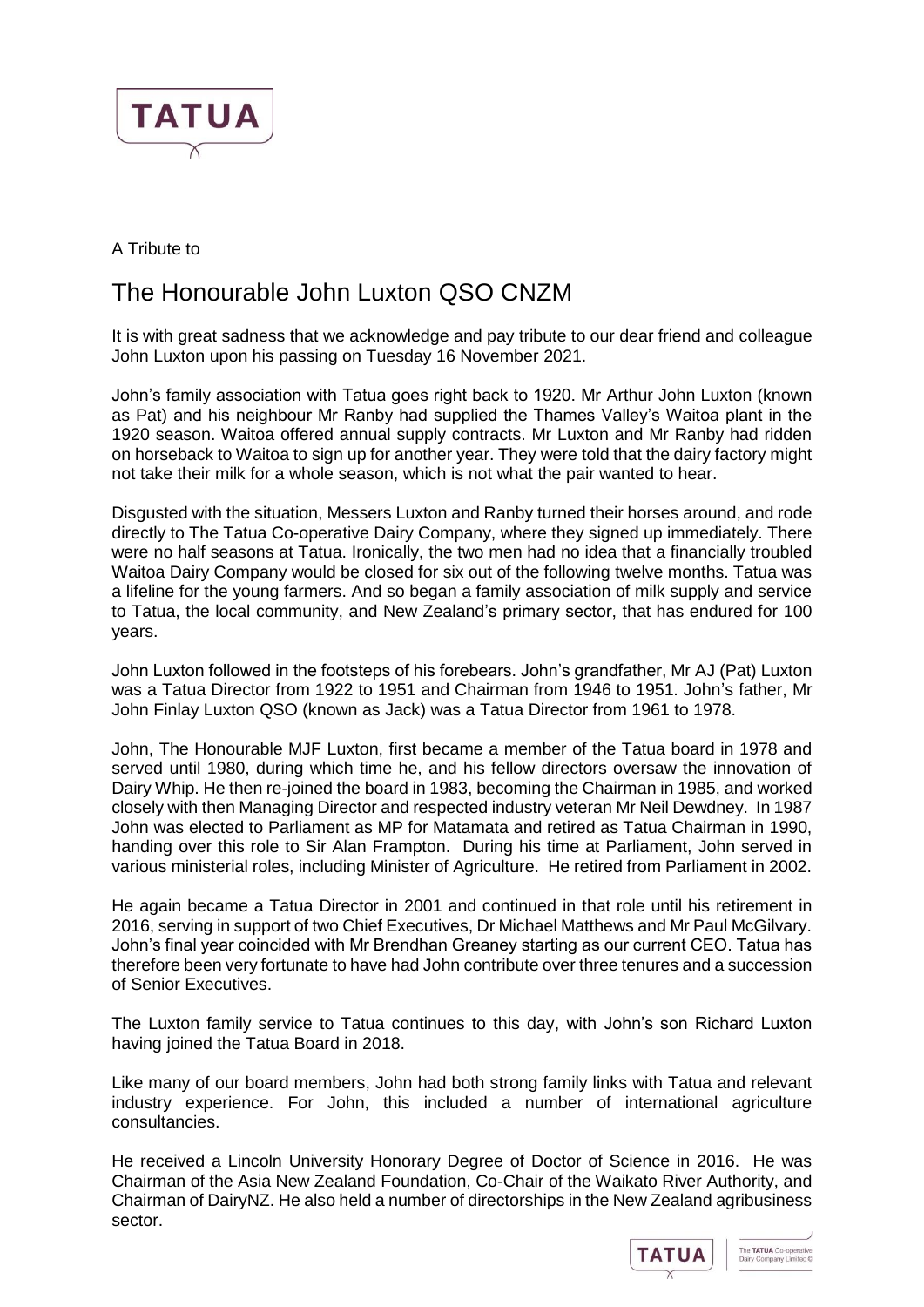

A Tribute to

## The Honourable John Luxton QSO CNZM

It is with great sadness that we acknowledge and pay tribute to our dear friend and colleague John Luxton upon his passing on Tuesday 16 November 2021.

John's family association with Tatua goes right back to 1920. Mr Arthur John Luxton (known as Pat) and his neighbour Mr Ranby had supplied the Thames Valley's Waitoa plant in the 1920 season. Waitoa offered annual supply contracts. Mr Luxton and Mr Ranby had ridden on horseback to Waitoa to sign up for another year. They were told that the dairy factory might not take their milk for a whole season, which is not what the pair wanted to hear.

Disgusted with the situation, Messers Luxton and Ranby turned their horses around, and rode directly to The Tatua Co-operative Dairy Company, where they signed up immediately. There were no half seasons at Tatua. Ironically, the two men had no idea that a financially troubled Waitoa Dairy Company would be closed for six out of the following twelve months. Tatua was a lifeline for the young farmers. And so began a family association of milk supply and service to Tatua, the local community, and New Zealand's primary sector, that has endured for 100 years.

John Luxton followed in the footsteps of his forebears. John's grandfather, Mr AJ (Pat) Luxton was a Tatua Director from 1922 to 1951 and Chairman from 1946 to 1951. John's father, Mr John Finlay Luxton QSO (known as Jack) was a Tatua Director from 1961 to 1978.

John, The Honourable MJF Luxton, first became a member of the Tatua board in 1978 and served until 1980, during which time he, and his fellow directors oversaw the innovation of Dairy Whip. He then re-joined the board in 1983, becoming the Chairman in 1985, and worked closely with then Managing Director and respected industry veteran Mr Neil Dewdney. In 1987 John was elected to Parliament as MP for Matamata and retired as Tatua Chairman in 1990, handing over this role to Sir Alan Frampton. During his time at Parliament, John served in various ministerial roles, including Minister of Agriculture. He retired from Parliament in 2002.

He again became a Tatua Director in 2001 and continued in that role until his retirement in 2016, serving in support of two Chief Executives, Dr Michael Matthews and Mr Paul McGilvary. John's final year coincided with Mr Brendhan Greaney starting as our current CEO. Tatua has therefore been very fortunate to have had John contribute over three tenures and a succession of Senior Executives.

The Luxton family service to Tatua continues to this day, with John's son Richard Luxton having joined the Tatua Board in 2018.

Like many of our board members, John had both strong family links with Tatua and relevant industry experience. For John, this included a number of international agriculture consultancies.

He received a Lincoln University Honorary Degree of Doctor of Science in 2016. He was Chairman of the Asia New Zealand Foundation, Co-Chair of the Waikato River Authority, and Chairman of DairyNZ. He also held a number of directorships in the New Zealand agribusiness sector.